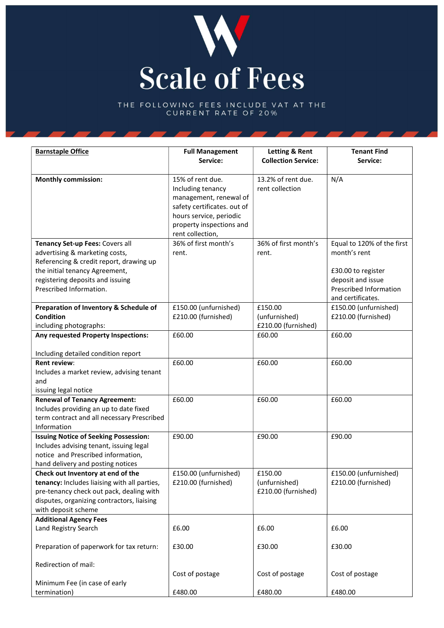

THE FOLLOWING FEES INCLUDE VAT AT THE<br>CURRENT RATE OF 20%

| <b>Barnstaple Office</b>                     | <b>Full Management</b>                       | Letting & Rent             | <b>Tenant Find</b>            |
|----------------------------------------------|----------------------------------------------|----------------------------|-------------------------------|
|                                              | Service:                                     | <b>Collection Service:</b> | Service:                      |
| <b>Monthly commission:</b>                   | 15% of rent due.                             | 13.2% of rent due.         | N/A                           |
|                                              | Including tenancy                            | rent collection            |                               |
|                                              | management, renewal of                       |                            |                               |
|                                              | safety certificates. out of                  |                            |                               |
|                                              | hours service, periodic                      |                            |                               |
|                                              | property inspections and<br>rent collection, |                            |                               |
| Tenancy Set-up Fees: Covers all              | 36% of first month's                         | 36% of first month's       | Equal to 120% of the first    |
| advertising & marketing costs,               | rent.                                        | rent.                      | month's rent                  |
| Referencing & credit report, drawing up      |                                              |                            |                               |
| the initial tenancy Agreement,               |                                              |                            | £30.00 to register            |
| registering deposits and issuing             |                                              |                            | deposit and issue             |
| Prescribed Information.                      |                                              |                            | <b>Prescribed Information</b> |
|                                              |                                              |                            | and certificates.             |
| Preparation of Inventory & Schedule of       | £150.00 (unfurnished)                        | £150.00                    | £150.00 (unfurnished)         |
| <b>Condition</b>                             | £210.00 (furnished)                          | (unfurnished)              | £210.00 (furnished)           |
| including photographs:                       |                                              | £210.00 (furnished)        |                               |
| Any requested Property Inspections:          | £60.00                                       | £60.00                     | £60.00                        |
|                                              |                                              |                            |                               |
| Including detailed condition report          |                                              |                            |                               |
| <b>Rent review:</b>                          | £60.00                                       | £60.00                     | £60.00                        |
| Includes a market review, advising tenant    |                                              |                            |                               |
| and                                          |                                              |                            |                               |
| issuing legal notice                         |                                              |                            |                               |
| <b>Renewal of Tenancy Agreement:</b>         | £60.00                                       | £60.00                     | £60.00                        |
| Includes providing an up to date fixed       |                                              |                            |                               |
| term contract and all necessary Prescribed   |                                              |                            |                               |
| Information                                  |                                              |                            |                               |
| <b>Issuing Notice of Seeking Possession:</b> | £90.00                                       | £90.00                     | £90.00                        |
| Includes advising tenant, issuing legal      |                                              |                            |                               |
| notice and Prescribed information,           |                                              |                            |                               |
| hand delivery and posting notices            |                                              |                            |                               |
| Check out Inventory at end of the            | £150.00 (unfurnished)                        | £150.00                    | £150.00 (unfurnished)         |
| tenancy: Includes liaising with all parties, | £210.00 (furnished)                          | (unfurnished)              | £210.00 (furnished)           |
| pre-tenancy check out pack, dealing with     |                                              | £210.00 (furnished)        |                               |
| disputes, organizing contractors, liaising   |                                              |                            |                               |
| with deposit scheme                          |                                              |                            |                               |
| <b>Additional Agency Fees</b>                |                                              |                            |                               |
| Land Registry Search                         | £6.00                                        | £6.00                      | £6.00                         |
| Preparation of paperwork for tax return:     | £30.00                                       | £30.00                     | £30.00                        |
|                                              |                                              |                            |                               |
| Redirection of mail:                         |                                              |                            |                               |
|                                              | Cost of postage                              | Cost of postage            | Cost of postage               |
| Minimum Fee (in case of early                |                                              |                            |                               |
| termination)                                 | £480.00                                      | £480.00                    | £480.00                       |